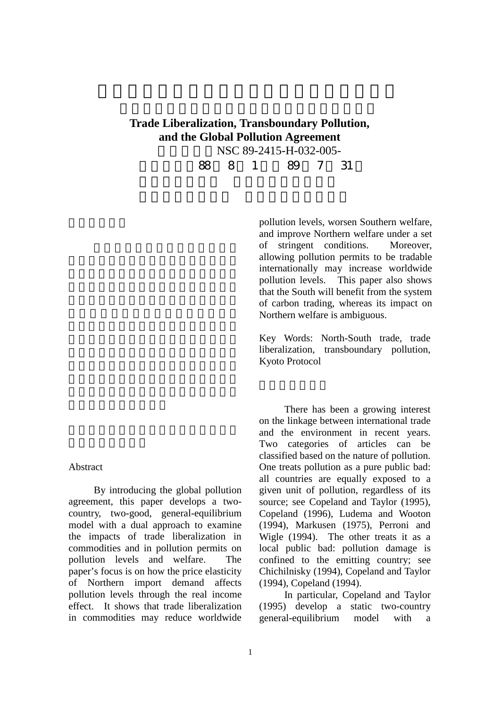## **Trade Liberalization, Transboundary Pollution, and the Global Pollution Agreement** NSC 89-2415-H-032-005-

執行期限 88 8 1 日至 89 7 31

pollution levels, worsen Southern welfare, and improve Northern welfare under a set of stringent conditions. Moreover, allowing pollution permits to be tradable internationally may increase worldwide pollution levels. This paper also shows that the South will benefit from the system of carbon trading, whereas its impact on Northern welfare is ambiguous.

Key Words: North-South trade, trade liberalization, transboundary pollution, Kyoto Protocol

There has been a growing interest on the linkage between international trade and the environment in recent years. Two categories of articles can be classified based on the nature of pollution. One treats pollution as a pure public bad: all countries are equally exposed to a given unit of pollution, regardless of its source; see Copeland and Taylor (1995), Copeland (1996), Ludema and Wooton (1994), Markusen (1975), Perroni and Wigle (1994). The other treats it as a local public bad: pollution damage is confined to the emitting country; see Chichilnisky (1994), Copeland and Taylor (1994), Copeland (1994).

In particular, Copeland and Taylor (1995) develop a static two-country general-equilibrium model with a

## Abstract

By introducing the global pollution agreement, this paper develops a twocountry, two-good, general-equilibrium model with a dual approach to examine the impacts of trade liberalization in commodities and in pollution permits on pollution levels and welfare. The paper's focus is on how the price elasticity of Northern import demand affects pollution levels through the real income effect. It shows that trade liberalization in commodities may reduce worldwide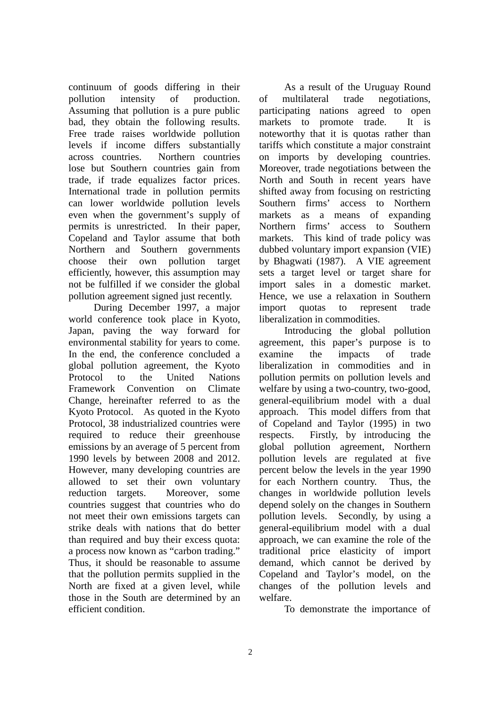continuum of goods differing in their pollution intensity of production. Assuming that pollution is a pure public bad, they obtain the following results. Free trade raises worldwide pollution levels if income differs substantially across countries. Northern countries lose but Southern countries gain from trade, if trade equalizes factor prices. International trade in pollution permits can lower worldwide pollution levels even when the government's supply of permits is unrestricted. In their paper, Copeland and Taylor assume that both Northern and Southern governments choose their own pollution target efficiently, however, this assumption may not be fulfilled if we consider the global pollution agreement signed just recently.

During December 1997, a major world conference took place in Kyoto, Japan, paving the way forward for environmental stability for years to come. In the end, the conference concluded a global pollution agreement, the Kyoto Protocol to the United Nations Framework Convention on Climate Change, hereinafter referred to as the Kyoto Protocol. As quoted in the Kyoto Protocol, 38 industrialized countries were required to reduce their greenhouse emissions by an average of 5 percent from 1990 levels by between 2008 and 2012. However, many developing countries are allowed to set their own voluntary reduction targets. Moreover, some countries suggest that countries who do not meet their own emissions targets can strike deals with nations that do better than required and buy their excess quota: a process now known as "carbon trading." Thus, it should be reasonable to assume that the pollution permits supplied in the North are fixed at a given level, while those in the South are determined by an efficient condition.

As a result of the Uruguay Round of multilateral trade negotiations, participating nations agreed to open markets to promote trade. It is noteworthy that it is quotas rather than tariffs which constitute a major constraint on imports by developing countries. Moreover, trade negotiations between the North and South in recent years have shifted away from focusing on restricting Southern firms' access to Northern markets as a means of expanding Northern firms' access to Southern markets. This kind of trade policy was dubbed voluntary import expansion (VIE) by Bhagwati (1987). A VIE agreement sets a target level or target share for import sales in a domestic market. Hence, we use a relaxation in Southern import quotas to represent trade liberalization in commodities.

Introducing the global pollution agreement, this paper's purpose is to examine the impacts of trade liberalization in commodities and in pollution permits on pollution levels and welfare by using a two-country, two-good, general-equilibrium model with a dual approach. This model differs from that of Copeland and Taylor (1995) in two respects. Firstly, by introducing the global pollution agreement, Northern pollution levels are regulated at five percent below the levels in the year 1990 for each Northern country. Thus, the changes in worldwide pollution levels depend solely on the changes in Southern pollution levels. Secondly, by using a general-equilibrium model with a dual approach, we can examine the role of the traditional price elasticity of import demand, which cannot be derived by Copeland and Taylor's model, on the changes of the pollution levels and welfare.

To demonstrate the importance of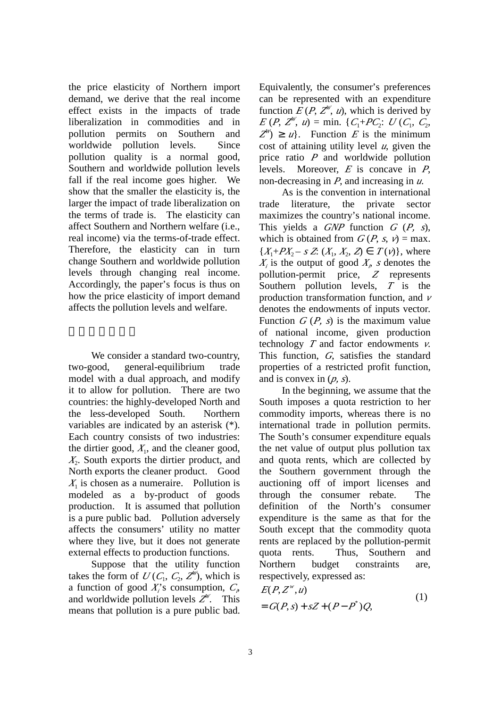the price elasticity of Northern import demand, we derive that the real income effect exists in the impacts of trade liberalization in commodities and in pollution permits on Southern and worldwide pollution levels. Since pollution quality is a normal good, Southern and worldwide pollution levels fall if the real income goes higher. We show that the smaller the elasticity is, the larger the impact of trade liberalization on the terms of trade is. The elasticity can affect Southern and Northern welfare (i.e., real income) via the terms-of-trade effect. Therefore, the elasticity can in turn change Southern and worldwide pollution levels through changing real income. Accordingly, the paper's focus is thus on how the price elasticity of import demand affects the pollution levels and welfare.

We consider a standard two-country, two-good, general-equilibrium trade model with a dual approach, and modify it to allow for pollution. There are two countries: the highly-developed North and the less-developed South. Northern variables are indicated by an asterisk (\*). Each country consists of two industries: the dirtier good,  $X_1$ , and the cleaner good, *X*2 . South exports the dirtier product, and North exports the cleaner product. Good  $X_1$  is chosen as a numeraire. Pollution is modeled as a by-product of goods production. It is assumed that pollution is a pure public bad. Pollution adversely affects the consumers' utility no matter where they live, but it does not generate external effects to production functions.

Suppose that the utility function takes the form of  $U(C_1, C_2, Z^W)$ , which is a function of good  $X_i$ 's consumption,  $C_i$ and worldwide pollution levels  $Z^W$ . This means that pollution is a pure public bad.

Equivalently, the consumer's preferences can be represented with an expenditure function  $E(P, Z^W, u)$ , which is derived by  $E(P, Z^W, u) = \min \{C_1 + PC_2 : U(C_1, C_2,$  $Z''$ )  $\geq u$ }. Function *E* is the minimum cost of attaining utility level *u*, given the price ratio *P* and worldwide pollution levels. Moreover, *E* is concave in *P*, non-decreasing in *P*, and increasing in *u*.

As is the convention in international trade literature, the private sector maximizes the country's national income. This yields a *GNP* function *<sup>G</sup>* (*P, <sup>s</sup>*), which is obtained from  $G(P, s, v) = \max$ .  $\{X_1 + PX_2 - s \, Z: (X_1, X_2, Z) \in T(v)\}$ , where  $X_i$  is the output of good  $X_i$ , *s* denotes the pollution-permit price, *Z* represents Southern pollution levels, *T* is the production transformation function, and *<sup>v</sup>* denotes the endowments of inputs vector. Function  $G(P, s)$  is the maximum value of national income, given production technology  $T$  and factor endowments  $\nu$ . This function, *<sup>G</sup>*, satisfies the standard properties of a restricted profit function, and is convex in  $(p, s)$ .

In the beginning, we assume that the South imposes a quota restriction to her commodity imports, whereas there is no international trade in pollution permits. The South's consumer expenditure equals the net value of output plus pollution tax and quota rents, which are collected by the Southern government through the auctioning off of import licenses and through the consumer rebate. The definition of the North's consumer expenditure is the same as that for the South except that the commodity quota rents are replaced by the pollution-permit quota rents. Thus, Southern and Northern budget constraints are, respectively, expressed as:

$$
E(P, Zw, u)
$$
  
=  $G(P, s) + sZ + (P - P^*)Q$ , (1)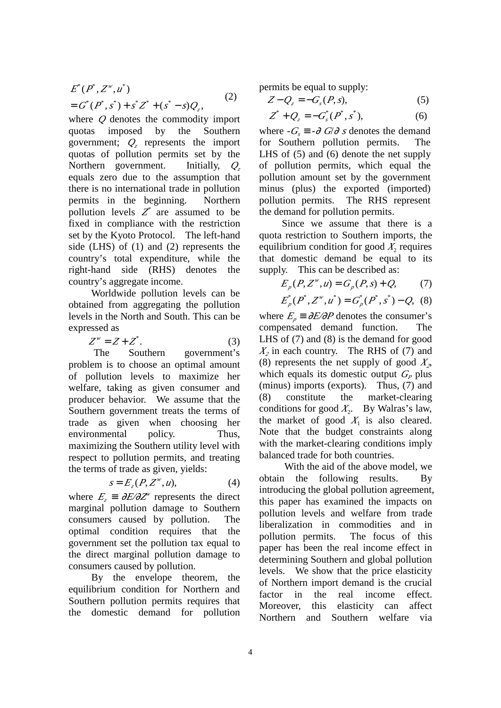$$
E^*(P^*, Z^*, u^*)
$$
  
=  $G^*(P^*, s^*) + s^* Z^* + (s^* - s)Q_z,$  (2)

where *Q* denotes the commodity import quotas imposed by the Southern government;  $Q_z$  represents the import quotas of pollution permits set by the Northern government. Initially, *Q<sub>z</sub>* equals zero due to the assumption that there is no international trade in pollution permits in the beginning. Northern pollution levels  $Z^*$  are assumed to be fixed in compliance with the restriction set by the Kyoto Protocol. The left-hand side (LHS) of (1) and (2) represents the country's total expenditure, while the right-hand side (RHS) denotes the country's aggregate income.

Worldwide pollution levels can be obtained from aggregating the pollution levels in the North and South. This can be expressed as

$$
Z^w = Z + Z^*.
$$
 (3)

The Southern government's problem is to choose an optimal amount of pollution levels to maximize her welfare, taking as given consumer and producer behavior. We assume that the Southern government treats the terms of trade as given when choosing her environmental policy. Thus, maximizing the Southern utility level with respect to pollution permits, and treating the terms of trade as given, yields:

$$
s = E_z(P, Z^w, u), \tag{4}
$$

where  $E_z \equiv \frac{\partial E}{\partial Z}$  represents the direct marginal pollution damage to Southern consumers caused by pollution. The optimal condition requires that the government set the pollution tax equal to the direct marginal pollution damage to consumers caused by pollution.

By the envelope theorem, the equilibrium condition for Northern and Southern pollution permits requires that the domestic demand for pollution permits be equal to supply:

$$
Z - Q_z = -G_s(P, s),\tag{5}
$$

$$
Z^* + Q_z = -G_s^*(P^*, s^*), \tag{6}
$$

where  $-G<sub>c</sub> \equiv -\theta \, G/\theta \, s$  denotes the demand for Southern pollution permits. The LHS of (5) and (6) denote the net supply of pollution permits, which equal the pollution amount set by the government minus (plus) the exported (imported) pollution permits. The RHS represent the demand for pollution permits.

Since we assume that there is a quota restriction to Southern imports, the equilibrium condition for good  $X_2$  requires that domestic demand be equal to its supply. This can be described as:

$$
E_p(P, Z^w, u) = G_p(P, s) + Q,\tag{7}
$$

$$
E_p^*(P^*, Z^w, u^*) = G_p^*(P^*, s^*) - Q, \quad (8)
$$

where  $E_p \equiv \frac{\partial E}{\partial P}$  denotes the consumer's compensated demand function. The LHS of (7) and (8) is the demand for good  $X_2$  in each country. The RHS of (7) and (8) represents the net supply of good  $X_2$ , which equals its domestic output  $G_P$  plus (minus) imports (exports). Thus, (7) and (8) constitute the market-clearing conditions for good  $X_2$ . By Walras's law, the market of good  $X_1$  is also cleared. Note that the budget constraints along with the market-clearing conditions imply balanced trade for both countries.

With the aid of the above model, we obtain the following results. By introducing the global pollution agreement, this paper has examined the impacts on pollution levels and welfare from trade liberalization in commodities and in pollution permits. The focus of this paper has been the real income effect in determining Southern and global pollution levels. We show that the price elasticity of Northern import demand is the crucial factor in the real income effect. Moreover, this elasticity can affect Northern and Southern welfare via